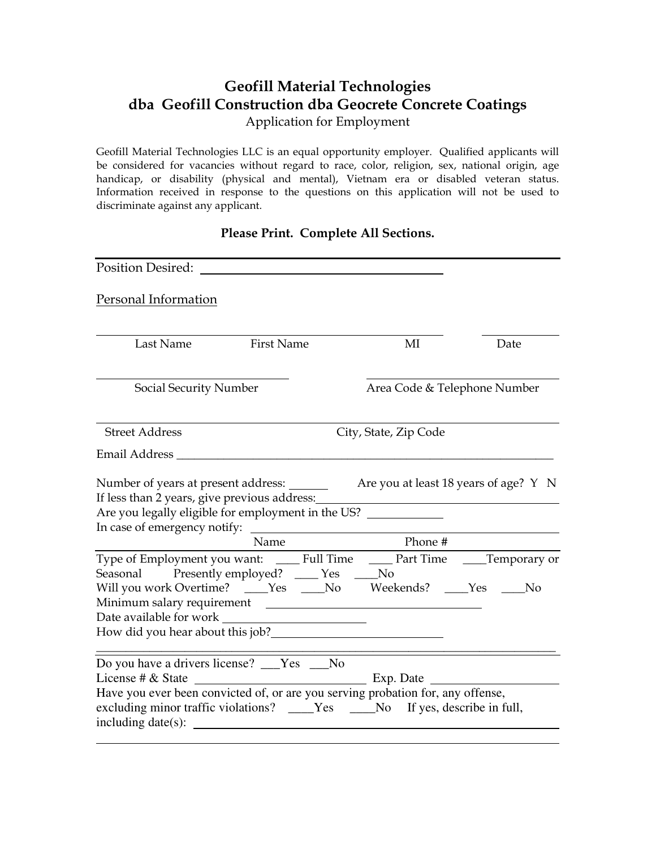## **Geofill Material Technologies dba Geofill Construction dba Geocrete Concrete Coatings**

Application for Employment

Geofill Material Technologies LLC is an equal opportunity employer. Qualified applicants will be considered for vacancies without regard to race, color, religion, sex, national origin, age handicap, or disability (physical and mental), Vietnam era or disabled veteran status. Information received in response to the questions on this application will not be used to discriminate against any applicant.

## **Please Print. Complete All Sections.**

| Position Desired:                                                                                                                                                                                                                                                                                                                                                                                                                            |                   |                       |                              |                                       |
|----------------------------------------------------------------------------------------------------------------------------------------------------------------------------------------------------------------------------------------------------------------------------------------------------------------------------------------------------------------------------------------------------------------------------------------------|-------------------|-----------------------|------------------------------|---------------------------------------|
| Personal Information                                                                                                                                                                                                                                                                                                                                                                                                                         |                   |                       |                              |                                       |
| Last Name                                                                                                                                                                                                                                                                                                                                                                                                                                    | <b>First Name</b> |                       | MI                           | Date                                  |
| Social Security Number                                                                                                                                                                                                                                                                                                                                                                                                                       |                   |                       | Area Code & Telephone Number |                                       |
| <b>Street Address</b>                                                                                                                                                                                                                                                                                                                                                                                                                        |                   | City, State, Zip Code |                              |                                       |
|                                                                                                                                                                                                                                                                                                                                                                                                                                              |                   |                       |                              |                                       |
| Number of years at present address:<br>If less than 2 years, give previous address:<br>Are you legally eligible for employment in the US? _____________                                                                                                                                                                                                                                                                                      |                   |                       |                              | Are you at least 18 years of age? Y N |
|                                                                                                                                                                                                                                                                                                                                                                                                                                              | Name              |                       | Phone $#$                    |                                       |
| Type of Employment you want: ______ Full Time _______ Part Time ______Temporary or<br>Seasonal Presently employed? ____ Yes ____No<br>Will you work Overtime? ____Yes ____No Weekends? ___Yes ___No<br>How did you hear about this job?<br><u>Letting the substitute of the substitute</u> of the substitute of the substitute of the substitute of the substitute of the substitute of the substitute of the substitute of the substitute o |                   |                       |                              |                                       |
| Do you have a drivers license? ___Yes ___No<br>Have you ever been convicted of, or are you serving probation for, any offense,<br>excluding minor traffic violations? ____Yes ____No If yes, describe in full,                                                                                                                                                                                                                               |                   |                       |                              |                                       |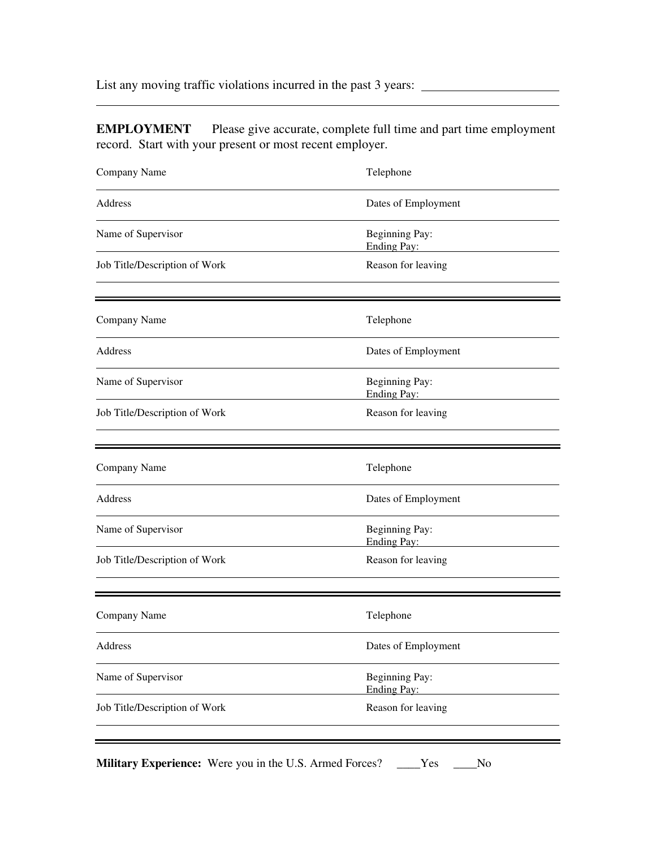List any moving traffic violations incurred in the past 3 years:

 $\overline{a}$ 

**EMPLOYMENT** Please give accurate, complete full time and part time employment record. Start with your present or most recent employer.

| Company Name                  | Telephone                            |
|-------------------------------|--------------------------------------|
| Address                       | Dates of Employment                  |
| Name of Supervisor            | Beginning Pay:<br>Ending Pay:        |
| Job Title/Description of Work | Reason for leaving                   |
| Company Name                  | Telephone                            |
| Address                       | Dates of Employment                  |
| Name of Supervisor            | Beginning Pay:<br>Ending Pay:        |
| Job Title/Description of Work | Reason for leaving                   |
| Company Name                  | Telephone                            |
| Address                       | Dates of Employment                  |
| Name of Supervisor            | Beginning Pay:<br><b>Ending Pay:</b> |
| Job Title/Description of Work | Reason for leaving                   |
|                               |                                      |
| Company Name                  | Telephone                            |
| Address                       | Dates of Employment                  |
| Name of Supervisor            | Beginning Pay:<br>Ending Pay:        |
| Job Title/Description of Work | Reason for leaving                   |
|                               |                                      |

**Military Experience:** Were you in the U.S. Armed Forces? \_\_\_\_Yes \_\_\_\_No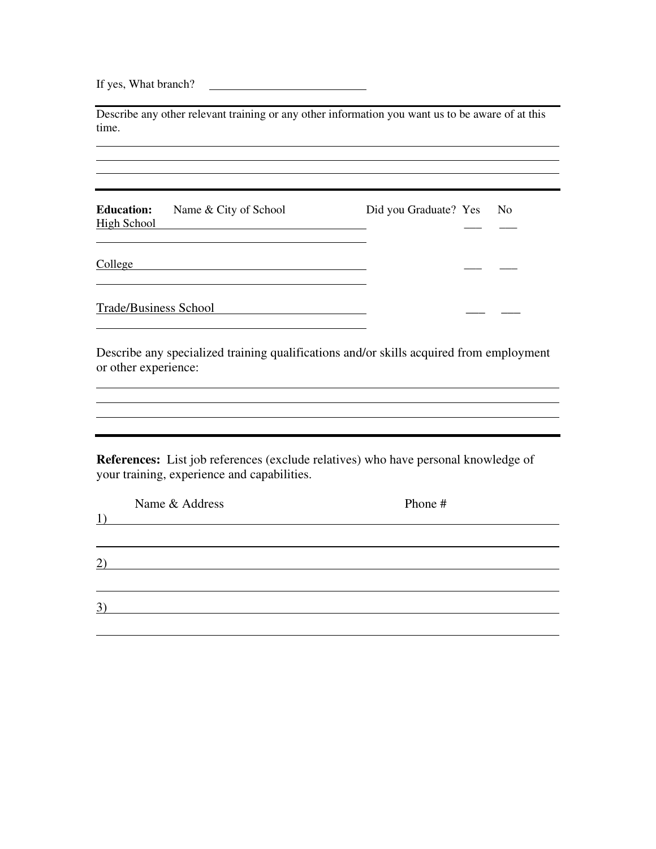If yes, What branch?

Describe any other relevant training or any other information you want us to be aware of at this time.

**Education:** Name & City of School Did you Graduate? Yes No High School \_\_\_ \_\_\_  $\overline{a}$ 

 $\text{Collect}$ 

 $\overline{a}$ 

 $\overline{a}$ 

 $\overline{a}$ 

 $\overline{a}$ 

 $\overline{a}$ 

 $\overline{a}$ 

Trade/Business School \_\_\_ \_\_\_

Describe any specialized training qualifications and/or skills acquired from employment or other experience:

**References:** List job references (exclude relatives) who have personal knowledge of your training, experience and capabilities.

| 1)  | Name & Address | Phone # |  |
|-----|----------------|---------|--|
|     |                |         |  |
| (2) |                |         |  |
|     |                |         |  |
| 3)  |                |         |  |
|     |                |         |  |